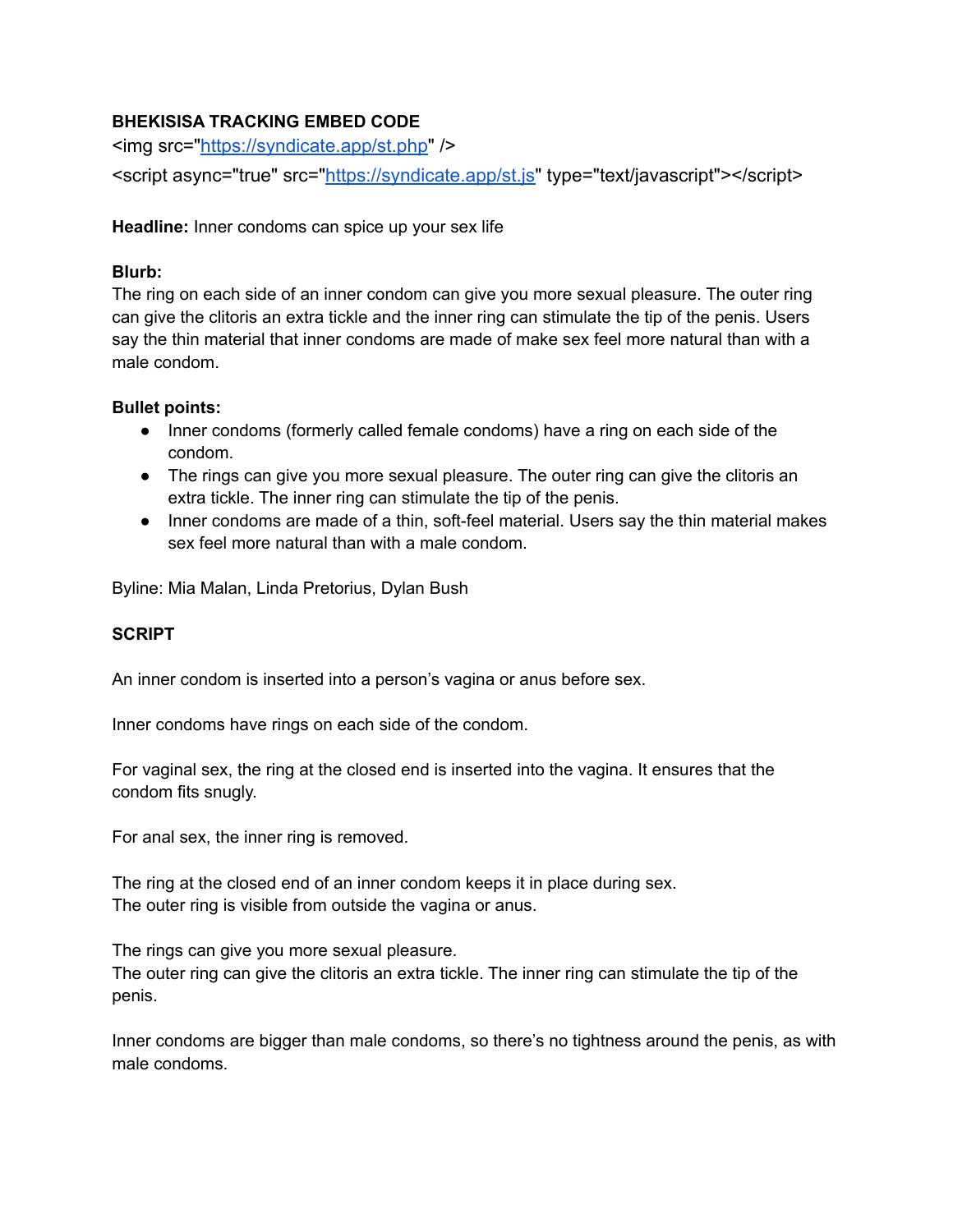## **BHEKISISA TRACKING EMBED CODE**

<img src="<https://syndicate.app/st.php>" />

<script async="true" src=["https://syndicate.app/st.js"](https://syndicate.app/st.js) type="text/javascript"></script>

**Headline:** Inner condoms can spice up your sex life

## **Blurb:**

The ring on each side of an inner condom can give you more sexual pleasure. The outer ring can give the clitoris an extra tickle and the inner ring can stimulate the tip of the penis. Users say the thin material that inner condoms are made of make sex feel more natural than with a male condom.

## **Bullet points:**

- Inner condoms (formerly called female condoms) have a ring on each side of the condom.
- The rings can give you more sexual pleasure. The outer ring can give the clitoris an extra tickle. The inner ring can stimulate the tip of the penis.
- Inner condoms are made of a thin, soft-feel material. Users say the thin material makes sex feel more natural than with a male condom.

Byline: Mia Malan, Linda Pretorius, Dylan Bush

## **SCRIPT**

An inner condom is inserted into a person's vagina or anus before sex.

Inner condoms have rings on each side of the condom.

For vaginal sex, the ring at the closed end is inserted into the vagina. It ensures that the condom fits snugly.

For anal sex, the inner ring is removed.

The ring at the closed end of an inner condom keeps it in place during sex. The outer ring is visible from outside the vagina or anus.

The rings can give you more sexual pleasure.

The outer ring can give the clitoris an extra tickle. The inner ring can stimulate the tip of the penis.

Inner condoms are bigger than male condoms, so there's no tightness around the penis, as with male condoms.